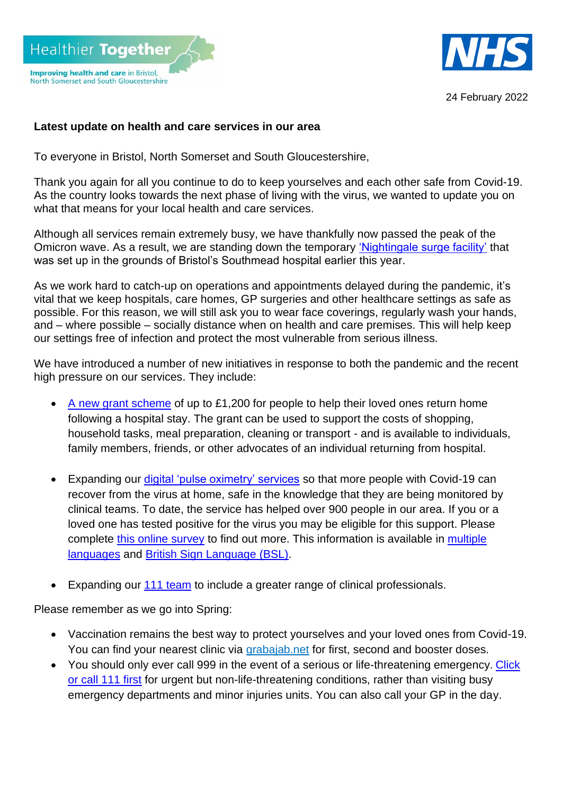



## **Latest update on health and care services in our area**

To everyone in Bristol, North Somerset and South Gloucestershire,

Thank you again for all you continue to do to keep yourselves and each other safe from Covid-19. As the country looks towards the next phase of living with the virus, we wanted to update you on what that means for your local health and care services.

Although all services remain extremely busy, we have thankfully now passed the peak of the Omicron wave. As a result, we are standing down the temporary ['Nightingale surge facility'](https://bnssgccg.nhs.uk/news/local-health-and-care-system-steps-contingency-plans/) that was set up in the grounds of Bristol's Southmead hospital earlier this year.

As we work hard to catch-up on operations and appointments delayed during the pandemic, it's vital that we keep hospitals, care homes, GP surgeries and other healthcare settings as safe as possible. For this reason, we will still ask you to wear face coverings, regularly wash your hands, and – where possible – socially distance when on health and care premises. This will help keep our settings free of infection and protect the most vulnerable from serious illness.

We have introduced a number of new initiatives in response to both the pandemic and the recent high pressure on our services. They include:

- A [new grant scheme](http://www.sirona-cic.org.uk/services/partner2care/) of up to £1,200 for people to help their loved ones return home following a hospital stay. The grant can be used to support the costs of shopping, household tasks, meal preparation, cleaning or transport - and is available to individuals, family members, friends, or other advocates of an individual returning from hospital.
- Expanding our [digital 'pulse oximetry' services](https://bnssghealthiertogether.org.uk/covid-19/healthier-together-at-home/) so that more people with Covid-19 can recover from the virus at home, safe in the knowledge that they are being monitored by clinical teams. To date, the service has helped over 900 people in our area. If you or a loved one has tested positive for the virus you may be eligible for this support. Please complete [this online survey](https://www.surveymonkey.co.uk/r/PD5FB5K) to find out more. This information is available in [multiple](https://bnssghealthiertogether.org.uk/covid-19/healthier-together-at-home/)  [languages](https://bnssghealthiertogether.org.uk/covid-19/healthier-together-at-home/) and [British Sign Language \(BSL\).](https://www.youtube.com/watch?v=kIS61hXfNPE)
- Expanding our [111 team](https://111.nhs.uk/) to include a greater range of clinical professionals.

Please remember as we go into Spring:

- Vaccination remains the best way to protect yourselves and your loved ones from Covid-19. You can find your nearest clinic via [grabajab.net](http://grabajab.net/) for first, second and booster doses.
- You should only ever call 999 in the event of a serious or life-threatening emergency. Click [or call 111 first](https://111.nhs.uk/) for urgent but non-life-threatening conditions, rather than visiting busy emergency departments and minor injuries units. You can also call your GP in the day.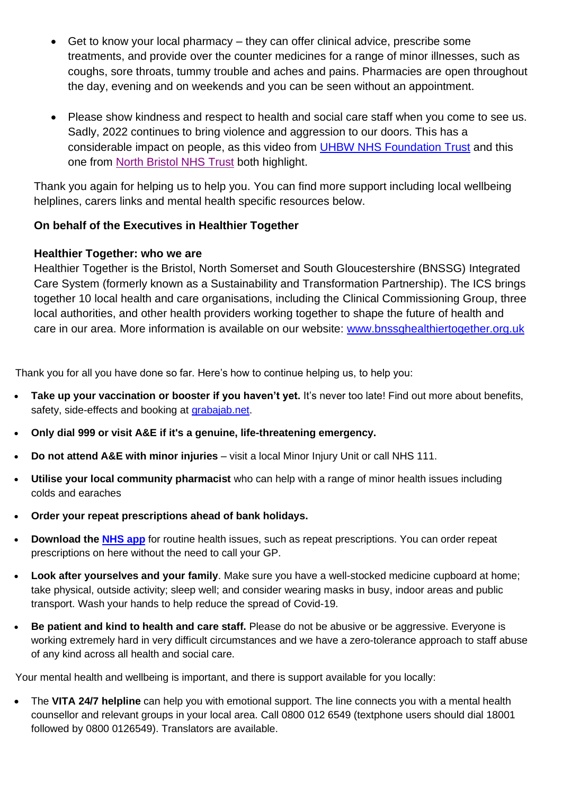- Get to know your local pharmacy they can offer clinical advice, prescribe some treatments, and provide over the counter medicines for a range of minor illnesses, such as coughs, sore throats, tummy trouble and aches and pains. Pharmacies are open throughout the day, evening and on weekends and you can be seen without an appointment.
- Please show kindness and respect to health and social care staff when you come to see us. Sadly, 2022 continues to bring violence and aggression to our doors. This has a considerable impact on people, as this video from [UHBW NHS Foundation Trust](https://www.facebook.com/watch/?v=885401359012303) and this one from [North Bristol NHS Trust](https://www.facebook.com/watch/?v=1606822329517203) both highlight.

Thank you again for helping us to help you. You can find more support including local wellbeing helplines, carers links and mental health specific resources below.

## **On behalf of the Executives in Healthier Together**

## **Healthier Together: who we are**

Healthier Together is the Bristol, North Somerset and South Gloucestershire (BNSSG) Integrated Care System (formerly known as a Sustainability and Transformation Partnership). The ICS brings together 10 local health and care organisations, including the Clinical Commissioning Group, three local authorities, and other health providers working together to shape the future of health and care in our area. More information is available on our website: [www.bnssghealthiertogether.org.uk](http://www.bnssghealthiertogether.org.uk/)

Thank you for all you have done so far. Here's how to continue helping us, to help you:

- Take up your vaccination or booster if you haven't yet. It's never too late! Find out more about benefits, safety, side-effects and booking at [grabajab.net.](http://www.grabajab.net/)
- **Only dial 999 or visit A&E if it's a genuine, life-threatening emergency.**
- **Do not attend A&E with minor injuries** visit a local Minor Injury Unit or call NHS 111.
- **Utilise your local community pharmacist** who can help with a range of minor health issues including colds and earaches
- **Order your repeat prescriptions ahead of bank holidays.**
- **Download the [NHS app](https://www.nhs.uk/nhs-app/)** for routine health issues, such as repeat prescriptions. You can order repeat prescriptions on here without the need to call your GP.
- **Look after yourselves and your family**. Make sure you have a well-stocked medicine cupboard at home; take physical, outside activity; sleep well; and consider wearing masks in busy, indoor areas and public transport. Wash your hands to help reduce the spread of Covid-19.
- **Be patient and kind to health and care staff.** Please do not be abusive or be aggressive. Everyone is working extremely hard in very difficult circumstances and we have a zero-tolerance approach to staff abuse of any kind across all health and social care.

Your mental health and wellbeing is important, and there is support available for you locally:

• The **VITA 24/7 helpline** can help you with emotional support. The line connects you with a mental health counsellor and relevant groups in your local area. Call 0800 012 6549 (textphone users should dial 18001 followed by 0800 0126549). Translators are available.